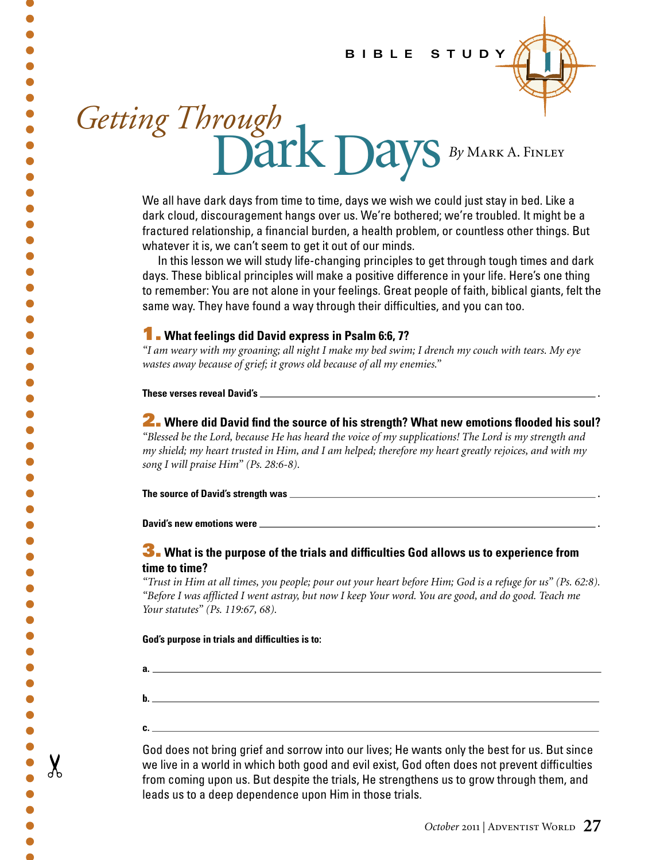### BIBLE STUDY



# Getting Through<br>Dark Days By MARK A. FINLEY

We all have dark days from time to time, days we wish we could just stay in bed. Like a dark cloud, discouragement hangs over us. We're bothered; we're troubled. It might be a fractured relationship, a financial burden, a health problem, or countless other things. But whatever it is, we can't seem to get it out of our minds.

In this lesson we will study life-changing principles to get through tough times and dark days. These biblical principles will make a positive difference in your life. Here's one thing to remember: You are not alone in your feelings. Great people of faith, biblical giants, felt the same way. They have found a way through their difficulties, and you can too.

# **1.** What feelings did David express in Psalm 6:6, 7?

"I am weary with my groaning; all night I make my bed swim; I drench my couch with tears. My eye wastes away because of grief; it grows old because of all my enemies."

These verses reveal David's

2. Where did David find the source of his strength? What new emotions flooded his soul? "Blessed be the Lord, because He has heard the voice of my supplications! The Lord is my strength and my shield; my heart trusted in Him, and I am helped; therefore my heart greatly rejoices, and with my song I will praise Him" (Ps. 28:6-8).

#### David's new emotions were \_\_

а.

 $\mathbf{b}$ .

 $c_{\cdot}$   $\qquad$ 

 $\bullet$  $\bullet$ 

 $\bullet$ 

 $\chi$ 

# 3. What is the purpose of the trials and difficulties God allows us to experience from time to time?

"Trust in Him at all times, you people; pour out your heart before Him; God is a refuge for us" (Ps. 62:8). "Before I was afflicted I went astray, but now I keep Your word. You are good, and do good. Teach me Your statutes" (Ps. 119:67, 68).

#### God's purpose in trials and difficulties is to:

God does not bring grief and sorrow into our lives; He wants only the best for us. But since we live in a world in which both good and evil exist, God often does not prevent difficulties from coming upon us. But despite the trials, He strengthens us to grow through them, and leads us to a deep dependence upon Him in those trials.